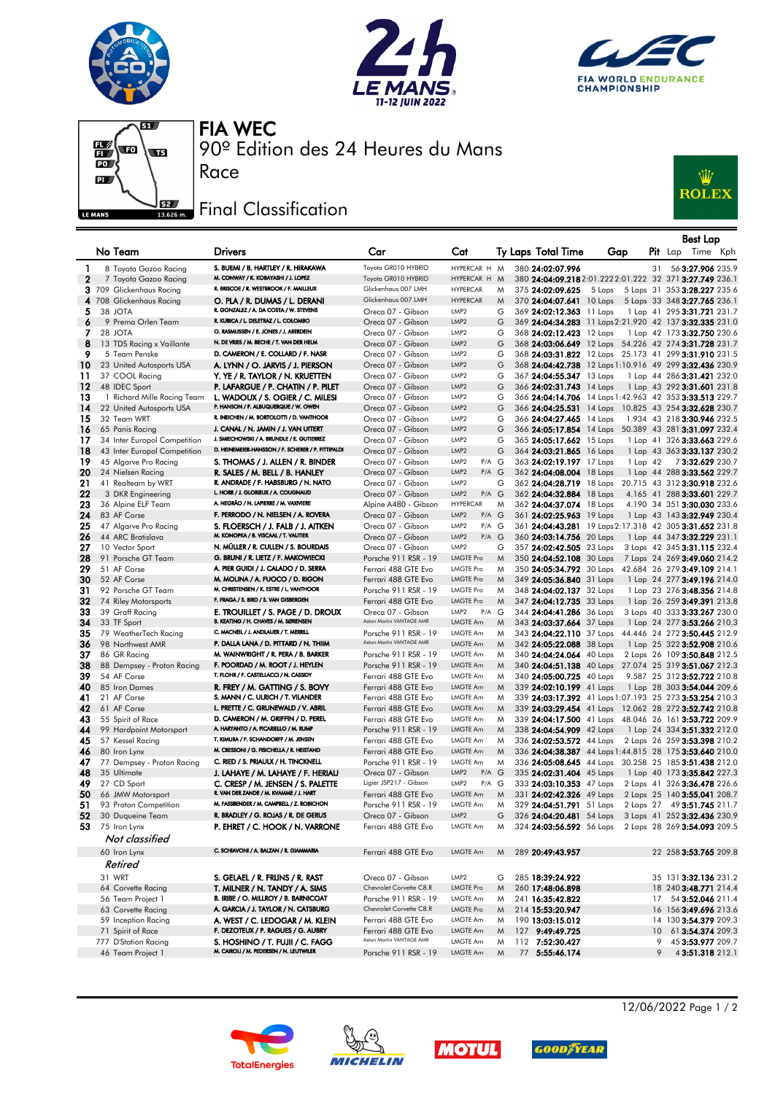







90º Edition des 24 Heures du Mans FIA WEC

## Final Classification

Race



|              |                                            |                                                                                    |                                                 |                                                            |        |                                                      |                                                                                                                  |    | <b>Best Lap</b>              |                                                            |
|--------------|--------------------------------------------|------------------------------------------------------------------------------------|-------------------------------------------------|------------------------------------------------------------|--------|------------------------------------------------------|------------------------------------------------------------------------------------------------------------------|----|------------------------------|------------------------------------------------------------|
|              | No Team                                    | <b>Drivers</b>                                                                     | Car                                             | Cat                                                        |        | Ty Laps Total Time                                   | Gap                                                                                                              |    | Pit Lap Time Kph             |                                                            |
| $\mathbf{1}$ | 8 Toyota Gazoo Racing                      | S. BUEMI / B. HARTLEY / R. HIRAKAWA                                                | Toyota GR010 HYBRID                             | HYPERCAR H M                                               |        | 380 24:02:07.996                                     |                                                                                                                  | 31 |                              | 56 3:27.906 235.9                                          |
| $\mathbf{2}$ | 7 Toyota Gazoo Racing                      | M. CONWAY / K. KOBAYASHI / J. LOPEZ<br>R. BRISCOE / R. WESTBROOK / F. MAILLEUX     | Toyota GR010 HYBRID                             | HYPERCAR H M                                               |        |                                                      | 380 24:04:09.218 2:01.222 2:01.222 32 371 3:27.749 236.1                                                         |    |                              |                                                            |
| З            | 709 Glickenhaus Racing                     |                                                                                    | Glickenhaus 007 LMH<br>Glickenhaus 007 LMH      | <b>HYPERCAR</b><br><b>HYPERCAR</b>                         | M      | 375 24:02:09.625                                     | 5 Laps 31 353 3:28.227 235.6<br>5 Laps                                                                           |    |                              |                                                            |
| 5            | 4 708 Glickenhaus Racing<br>38 JOTA        | O. PLA / R. DUMAS / L. DERANI<br>R. GONZALEZ / A. DA COSTA / W. STEVENS            | Oreca 07 - Gibson                               | LMP <sub>2</sub>                                           | M<br>G | 370 24:04:07.641 10 Laps<br>369 24:02:12.363 11 Laps |                                                                                                                  |    | 5 Laps 33 348 3:27.765 236.1 | 1 Lap 41 295 3:31.721 231.7                                |
| 6            | 9 Prema Orlen Team                         | R. KUBICA / L. DELETRAZ / L. COLOMBO                                               | Oreca 07 - Gibson                               | LMP <sub>2</sub>                                           | G      |                                                      | 369 24:04:34.283 11 Laps 2:21.920 42 137 3:32.335 231.0                                                          |    |                              |                                                            |
| 7            | 28 JOTA                                    | O. RASMUSSEN / E. JONES / J. ABERDEIN                                              | Oreca 07 - Gibson                               | LMP <sub>2</sub>                                           | G      | 368 24:02:12.423 12 Laps                             |                                                                                                                  |    |                              | 1 Lap 42 173 3:32.750 230.6                                |
| 8            | 13 TDS Racing x Vaillante                  | N. DE VRIES / M. BECHE / T. VAN DER HELM                                           | Oreca 07 - Gibson                               | LMP <sub>2</sub>                                           | G      |                                                      | 368 24:03:06.649 12 Laps 54.226 42 274 3:31.728 231.7                                                            |    |                              |                                                            |
| 9            | 5 Team Penske                              | D. CAMERON / E. COLLARD / F. NASR                                                  | Oreca 07 - Gibson                               | LMP <sub>2</sub>                                           | G      |                                                      | 368 24:03:31.822 12 Laps 25.173 41 299 3:31.910 231.5                                                            |    |                              |                                                            |
| 10           | 23 United Autosports USA                   | A. LYNN / O. JARVIS / J. PIERSON                                                   | Oreca 07 - Gibson                               | LMP <sub>2</sub>                                           | G      |                                                      | 368 24:04:42.738 12 Laps 1:10.916 49 299 3:32.436 230.9                                                          |    |                              |                                                            |
| 11<br>12     | 37 COOL Racing<br>48 IDEC Sport            | Y. YE / R. TAYLOR / N. KRUETTEN<br>P. LAFARGUE / P. CHATIN / P. PILET              | Oreca 07 - Gibson<br>Oreca 07 - Gibson          | LMP <sub>2</sub><br>LMP <sub>2</sub>                       | G<br>G | 367 24:04:55.347 13 Laps<br>366 24:02:31.743 14 Laps |                                                                                                                  |    |                              | 1 Lap 44 286 3:31.421 232.0<br>1 Lap 43 292 3:31.601 231.8 |
| 13           | 1 Richard Mille Racing Team                | L. WADOUX / S. OGIER / C. MILESI                                                   | Oreca 07 - Gibson                               | LMP <sub>2</sub>                                           | G      |                                                      | 366 24:04:14.706 14 Laps 1:42.963 42 353 3:33.513 229.7                                                          |    |                              |                                                            |
| 14           | 22 United Autosports USA                   | P. HANSON / F. ALBUQUERQUE / W. OWEN                                               | Oreca 07 - Gibson                               | LMP <sub>2</sub>                                           | G      |                                                      | 366 24:04:25.531 14 Laps 10.825 43 254 3:32.628 230.7                                                            |    |                              |                                                            |
| 15           | 32 Team WRT                                | R. INEICHEN / M. BORTOLOTTI / D. VANTHOOR                                          | Oreca 07 - Gibson                               | LMP <sub>2</sub>                                           | G      | 366 24:04:27.465 14 Laps                             |                                                                                                                  |    |                              | 1.934 43 218 3:30.946 232.5                                |
| 16           | 65 Panis Racing                            | J. CANAL / N. JAMIN / J. VAN UITERT                                                | Oreca 07 - Gibson                               | LMP <sub>2</sub>                                           | G      | 366 24:05:17.854 14 Laps                             | 50.389 43 281 3:31.097 232.4                                                                                     |    |                              |                                                            |
| 17           | 34 Inter Europol Competition               | J. SMIECHOWSKI / A. BRUNDLE / E. GUTIERREZ                                         | Oreca 07 - Gibson                               | LMP <sub>2</sub>                                           | G      | 365 24:05:17.662 15 Laps                             |                                                                                                                  |    |                              | 1 Lap 41 326 3:33.663 229.6                                |
| 18           | 43 Inter Europol Competition               | D. HEINEMEIER-HANSSON / F. SCHERER / P. FITTIPALDI                                 | Oreca 07 - Gibson                               | LMP <sub>2</sub>                                           | G      | 364 24:03:21.865 16 Laps                             |                                                                                                                  |    |                              | 1 Lap 43 363 3:33.137 230.2                                |
| 19           | 45 Algarve Pro Racing                      | S. THOMAS / J. ALLEN / R. BINDER                                                   | Oreca 07 - Gibson                               | P/A G<br>LMP <sub>2</sub><br>LMP <sub>2</sub><br>$P/A$ $G$ |        | 363 24:02:19.197 17 Laps                             | 1 Lap 42                                                                                                         |    |                              | 73:32.629 230.7                                            |
| 20<br>21     | 24 Nielsen Racing<br>41 Realteam by WRT    | R. SALES / M. BELL / B. HANLEY<br>R. ANDRADE / F. HABSBURG / N. NATO               | Oreca 07 - Gibson<br>Oreca 07 - Gibson          | LMP <sub>2</sub>                                           | G      | 362 24:04:08.004 18 Laps<br>362 24:04:28.719 18 Laps | 20.715 43 312 3:30.918 232.6                                                                                     |    |                              | 1 Lap 44 288 3:33.562 229.7                                |
| 22           | 3 DKR Engineering                          | L. HORR / J. GLORIEUX / A. COUGNAUD                                                | Oreca 07 - Gibson                               | LMP <sub>2</sub><br>$P/A$ $G$                              |        | 362 24:04:32.884 18 Laps                             |                                                                                                                  |    |                              | 4.165 41 288 3:33.601 229.7                                |
| 23           | 36 Alpine ELF Team                         | A. NEGRÃO / N. LAPIERRE / M. VAXIVIERE                                             | Alpine A480 - Gibson                            | <b>HYPERCAR</b>                                            | M      | 362 24:04:37.074 18 Laps                             |                                                                                                                  |    |                              | 4.190 34 351 3:30.030 233.6                                |
| 24           | 83 AF Corse                                | F. PERRODO / N. NIELSEN / A. ROVERA                                                | Oreca 07 - Gibson                               | LMP <sub>2</sub><br>$P/A$ $G$                              |        | 361 24:02:25.963 19 Laps                             |                                                                                                                  |    |                              | 1 Lap 43 143 3:32.949 230.4                                |
| 25           | 47 Algarve Pro Racing                      | S. FLOERSCH / J. FALB / J. AITKEN                                                  | Oreca 07 - Gibson                               | LMP <sub>2</sub><br>P/A G                                  |        |                                                      | 361 24:04:43.281 19 Laps 2:17.318 42 305 3:31.652 231.8                                                          |    |                              |                                                            |
| 26           | 44 ARC Bratislava                          | M. KONOPKA / B. VISCAAL / T. VAUTIER                                               | Oreca 07 - Gibson                               | LMP <sub>2</sub><br>$P/A$ $G$                              |        | 360 24:03:14.756 20 Laps                             |                                                                                                                  |    | 1 Lap 44 347 3:32.229 231.1  |                                                            |
| 27           | 10 Vector Sport                            | N. MÜLLER / R. CULLEN / S. BOURDAIS                                                | Oreca 07 - Gibson                               | LMP <sub>2</sub>                                           | G      | 357 24:02:42.505 23 Laps                             |                                                                                                                  |    |                              | 3 Laps 42 345 3:31.115 232.4                               |
| 28           | 91 Porsche GT Team                         | G. BRUNI / R. LIETZ / F. MAKOWIECKI                                                | Porsche 911 RSR - 19                            | <b>LMGTE Pro</b>                                           | M      | 350 24:04:52.108 30 Laps                             |                                                                                                                  |    |                              | 7 Laps 24 269 3:49.060 214.2                               |
| 29<br>30     | 51 AF Corse<br>52 AF Corse                 | A. PIER GUIDI / J. CALADO / D. SERRA<br>M. MOLINA / A. FUOCO / D. RIGON            | Ferrari 488 GTE Evo<br>Ferrari 488 GTE Evo      | LMGTE Pro<br><b>LMGTE Pro</b>                              | M<br>M | 350 24:05:34.792 30 Laps<br>349 24:05:36.840 31 Laps | 42.684 26 279 3:49.109 214.1                                                                                     |    |                              | 1 Lap 24 277 3:49.196 214.0                                |
| 31           | 92 Porsche GT Team                         | M. CHRISTENSEN / K. ESTRE / L. VANTHOOR                                            | Porsche 911 RSR - 19                            | LMGTE Pro                                                  | M      | 348 24:04:02.137 32 Laps                             |                                                                                                                  |    |                              | 1 Lap 23 276 3:48.356 214.8                                |
| 32           | 74 Riley Motorsports                       | F. FRAGA / S. BIRD / S. VAN GISBERGEN                                              | Ferrari 488 GTE Evo                             | LMGTE Pro                                                  | M      | 347 24:04:12.735 33 Laps                             |                                                                                                                  |    |                              | 1 Lap 26 259 3:49.391 213.8                                |
| 33           | 39 Graff Racing                            | E. TROUILLET / S. PAGE / D. DROUX                                                  | Oreca 07 - Gibson                               | LMP2<br>$P/A$ $G$                                          |        | 344 24:04:41.286 36 Laps                             |                                                                                                                  |    |                              | 3 Laps 40 333 3:33.267 230.0                               |
| 34           | 33 TF Sport                                | B. KEATING / H. CHAVES / M. SØRENSEN                                               | Aston Martin VANTAGE AMR                        | LMGTE Am                                                   | M      | 343 24:03:37.664 37 Laps                             |                                                                                                                  |    |                              | 1 Lap 24 277 3:53.266 210.3                                |
| 35           | 79 WeatherTech Racing                      | C. MACNEIL / J. ANDLAUER / T. MERRILL                                              | Porsche 911 RSR - 19                            | LMGTE Am                                                   | M      | 343 24:04:22.110 37 Laps                             | 44.446 24 272 3:50.445 212.9                                                                                     |    |                              |                                                            |
| 36           | 98 Northwest AMR                           | P. DALLA LANA / D. PITTARD / N. THIIM                                              | Aston Martin VANTAGE AMR                        | LMGTE Am                                                   | M      | 342 24:05:22.088 38 Laps                             |                                                                                                                  |    |                              | 1 Lap 25 322 3:52.908 210.6                                |
| 37           | 86 GR Racing                               | M. WAINWRIGHT / R. PERA / B. BARKER<br>F. POORDAD / M. ROOT / J. HEYLEN            | Porsche 911 RSR - 19                            | LMGTE Am<br>LMGTE Am                                       | M      | 340 24:04:24.064 40 Laps                             |                                                                                                                  |    |                              | 2 Laps 26 109 3:50.848 212.5                               |
| 38<br>39     | 88 Dempsey - Proton Racing<br>54 AF Corse  | T. FLOHR / F. CASTELLACCI / N. CASSIDY                                             | Porsche 911 RSR - 19<br>Ferrari 488 GTE Evo     | LMGTE Am                                                   | M<br>M | 340 24:05:00.725 40 Laps                             | 340 24:04:51.138 40 Laps 27.074 25 319 3:51.067 212.3                                                            |    |                              | 9.587 25 312 3:52.722 210.8                                |
| 40           | 85 Iron Dames                              | R. FREY / M. GATTING / S. BOVY                                                     | Ferrari 488 GTE Evo                             | LMGTE Am                                                   | M      | 339 24:02:10.199 41 Laps                             |                                                                                                                  |    |                              | 1 Lap 28 303 3:54.044 209.6                                |
| 41           | 21 AF Corse                                | S. MANN / C. ULRICH / T. VILANDER                                                  | Ferrari 488 GTE Evo                             | LMGTE Am                                                   | M      |                                                      | 339 24:03:17.392 41 Laps 1:07.193 25 273 3:53.254 210.3                                                          |    |                              |                                                            |
| 42           | 61 AF Corse                                | L. PRETTE / C. GRUNEWALD / V. ABRIL                                                | Ferrari 488 GTE Evo                             | LMGTE Am                                                   | M      |                                                      | 339 24:03:29.454 41 Laps 12.062 28 272 3:52.742 210.8                                                            |    |                              |                                                            |
| 43           | 55 Spirit of Race                          | D. CAMERON / M. GRIFFIN / D. PEREL                                                 | Ferrari 488 GTE Evo                             | LMGTE Am                                                   | M      |                                                      | 339 24:04:17.500 41 Laps 48.046 26 161 3:53.722 209.9                                                            |    |                              |                                                            |
| 44           | 99 Hardpoint Motorsport                    | A. HARYANTO / A. PICARIELLO / M. RUMP                                              | Porsche 911 RSR - 19                            | LMGTE Am                                                   | M      | 338 24:04:54.909 42 Laps                             |                                                                                                                  |    |                              | 1 Lap 24 334 3:51.332 212.0                                |
| 45           | 57 Kessel Racing                           | T. KIMURA / F. SCHANDORFF / M. JENSEN<br>M. CRESSONI / G. FISICHELLA / R. HEISTAND | Ferrari 488 GTE Evo                             | LMGTE Am<br>LMGTE Am                                       | M      | 336 24:02:53.572 44 Laps                             | 2 Laps 26 259 3:53.398 210.2                                                                                     |    |                              |                                                            |
| 46<br>47     | 80 Iron Lynx<br>77 Dempsey - Proton Racing | C. RIED / S. PRIAULX / H. TINCKNELL                                                | Ferrari 488 GTE Evo<br>Porsche 911 RSR - 19     | LMGTE Am                                                   | M<br>M |                                                      | 336 24:04:38.387 44 Laps 1:44.815 28 175 3:53.640 210.0<br>336 24:05:08.645 44 Laps 30.258 25 185 3:51.438 212.0 |    |                              |                                                            |
| 48           | 35 Ultimate                                | J. LAHAYE / M. LAHAYE / F. HERIAU                                                  | Oreca 07 - Gibson                               | LMP <sub>2</sub><br>$P/A$ $G$                              |        | 335 24:02:31.404 45 Laps                             |                                                                                                                  |    |                              | 1 Lap 40 173 3:35.842 227.3                                |
| 49           | 27 CD Sport                                | C. CRESP / M. JENSEN / S. PALETTE                                                  | Ligier JSP217 - Gibson                          | LMP <sub>2</sub><br>P/A G                                  |        | 333 24:03:10.353 47 Laps                             |                                                                                                                  |    |                              | 2 Laps 41 326 3:36.478 226.6                               |
| 50           | 66 JMW Motorsport                          | R. VAN DER ZANDE / M. KVAMME / J. HART                                             | Ferrari 488 GTE Evo                             | LMGTE Am                                                   | M      |                                                      | 331 24:02:42.326 49 Laps 2 Laps 25 140 3:55.041 208.7                                                            |    |                              |                                                            |
|              | 51 93 Proton Competition                   | M. FASSBENDER / M. CAMPBELL / Z. ROBICHON                                          | Porsche 911 RSR - 19                            | LMGTE Am                                                   | M      |                                                      | 329 24:04:51.791 51 Laps 2 Laps 27 49 3:51.745 211.7                                                             |    |                              |                                                            |
| 52           | 30 Duqueine Team                           | R. BRADLEY / G. ROJAS / R. DE GERUS                                                | Oreca 07 - Gibson                               | LMP <sub>2</sub>                                           | G      |                                                      | 326 24:04:20.481 54 Laps 3 Laps 41 252 3:32.436 230.9                                                            |    |                              |                                                            |
| 53.          | 75 Iron Lynx                               | P. EHRET / C. HOOK / N. VARRONE                                                    | Ferrari 488 GTE Evo                             | LMGTE Am                                                   | M      |                                                      | 324 24:03:56.592 56 Laps 2 Laps 28 269 3:54.093 209.5                                                            |    |                              |                                                            |
|              | Not classified                             |                                                                                    |                                                 |                                                            |        |                                                      |                                                                                                                  |    |                              |                                                            |
|              | 60 Iron Lynx                               | C. SCHIAVONI / A. BALZAN / R. GIAMMARIA                                            | Ferrari 488 GTE Evo                             | LMGTE Am                                                   | M      | 289 20:49:43.957                                     |                                                                                                                  |    |                              | 22 258 3:53.765 209.8                                      |
|              | Retired                                    |                                                                                    |                                                 |                                                            |        |                                                      |                                                                                                                  |    |                              |                                                            |
|              | 31 WRT                                     | S. GELAEL / R. FRIJNS / R. RAST                                                    | Oreca 07 - Gibson                               | LMP2                                                       | G      | 285 18:39:24.922                                     |                                                                                                                  |    |                              | 35 131 <b>3:32.136</b> 231.2                               |
|              | 64 Corvette Racing                         | T. MILNER / N. TANDY / A. SIMS                                                     | Chevrolet Corvette C8.R                         | LMGTE Pro                                                  | M      | 260 17:48:06.898                                     |                                                                                                                  |    |                              | 18 240 3:48.771 214.4                                      |
|              | 56 Team Project 1<br>63 Corvette Racing    | B. IRIBE / O. MILLROY / B. BARNICOAT<br>A. GARCIA / J. TAYLOR / N. CATSBURG        | Porsche 911 RSR - 19<br>Chevrolet Corvette C8.R | LMGTE Am<br>LMGTE Pro                                      | M      | 241 16:35:42.822                                     |                                                                                                                  | 17 |                              | 54 3:52.046 211.4<br>16 156 3:49.696 213.6                 |
|              | 59 Inception Racing                        | A. WEST / C. LEDOGAR / M. KLEIN                                                    | Ferrari 488 GTE Evo                             | LMGTE Am                                                   | M<br>M | 214 15:53:20.947<br>190 13:03:15.012                 |                                                                                                                  |    |                              | 14 130 3:54.379 209.3                                      |
|              | 71 Spirit of Race                          | F. DEZOTEUX / P. RAGUES / G. AUBRY                                                 | Ferrari 488 GTE Evo                             | LMGTE Am                                                   | M      | 127 9:49:49.725                                      |                                                                                                                  | 10 |                              | 61 3:54.374 209.3                                          |
|              | 777 D'Station Racing                       | S. HOSHINO / T. FUJII / C. FAGG                                                    | Aston Martin VANTAGE AMR                        | LMGTE Am                                                   | M      | 112 7:52:30.427                                      |                                                                                                                  | 9  |                              | 45 3:53.977 209.7                                          |
|              | 46 Team Project 1                          | M. CAIROLI / M. PEDERSEN / N. LEUTWILER                                            | Porsche 911 RSR - 19                            | LMGTE Am                                                   | M      | 77 5:55:46.174                                       |                                                                                                                  | 9  |                              | 43:51.318 212.1                                            |









12/06/2022 Page 1 / 2